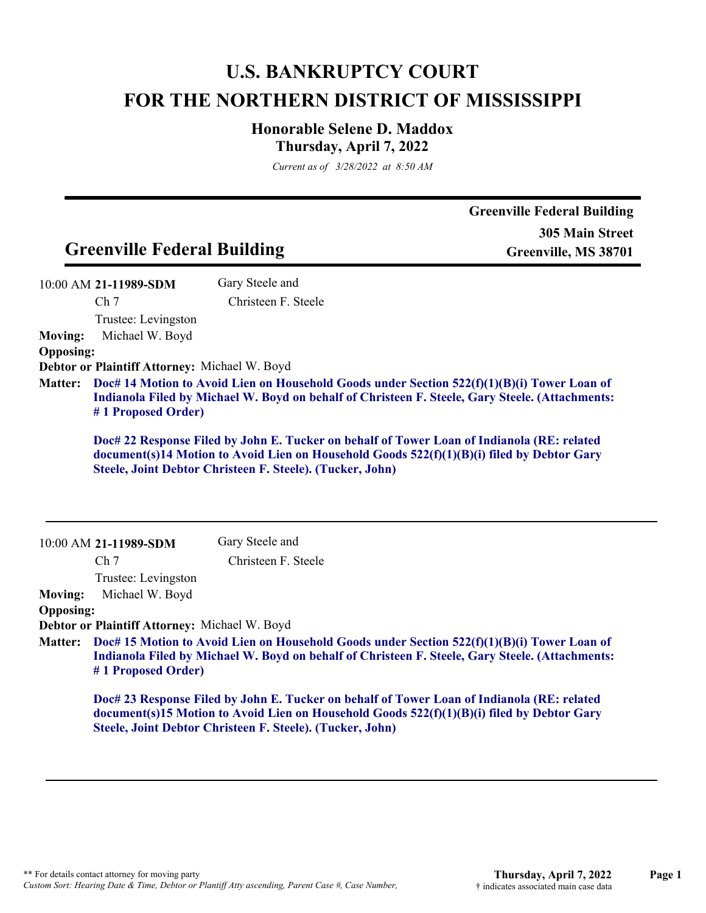# **U.S. BANKRUPTCY COURT FOR THE NORTHERN DISTRICT OF MISSISSIPPI**

# **Honorable Selene D. Maddox Thursday, April 7, 2022**

*Current as of 3/28/2022 at 8:50 AM*

|                                    | <b>Greenville Federal Building</b>                                                 |                                                                                                                                                                                                                                                       | <b>Greenville Federal Building</b><br><b>305 Main Street</b><br>Greenville, MS 38701 |
|------------------------------------|------------------------------------------------------------------------------------|-------------------------------------------------------------------------------------------------------------------------------------------------------------------------------------------------------------------------------------------------------|--------------------------------------------------------------------------------------|
|                                    | 10:00 AM 21-11989-SDM<br>Ch <sub>7</sub><br>Trustee: Levingston<br>Michael W. Boyd | Gary Steele and<br>Christeen F. Steele                                                                                                                                                                                                                |                                                                                      |
| <b>Moving:</b><br><b>Opposing:</b> |                                                                                    |                                                                                                                                                                                                                                                       |                                                                                      |
|                                    | Debtor or Plaintiff Attorney: Michael W. Boyd                                      |                                                                                                                                                                                                                                                       |                                                                                      |
| <b>Matter:</b>                     |                                                                                    | Doc# 14 Motion to Avoid Lien on Household Goods under Section 522(f)(1)(B)(i) Tower Loan of<br>Indianola Filed by Michael W. Boyd on behalf of Christeen F. Steele, Gary Steele. (Attachments:                                                        |                                                                                      |
|                                    | #1 Proposed Order)                                                                 |                                                                                                                                                                                                                                                       |                                                                                      |
|                                    |                                                                                    | Doc# 22 Response Filed by John E. Tucker on behalf of Tower Loan of Indianola (RE: related<br>document(s)14 Motion to Avoid Lien on Household Goods 522(f)(1)(B)(i) filed by Debtor Gary<br>Steele, Joint Debtor Christeen F. Steele). (Tucker, John) |                                                                                      |
|                                    | 10:00 AM 21-11989-SDM                                                              | Gary Steele and                                                                                                                                                                                                                                       |                                                                                      |
|                                    | Ch <sub>7</sub>                                                                    | Christeen F. Steele                                                                                                                                                                                                                                   |                                                                                      |
|                                    | Trustee: Levingston                                                                |                                                                                                                                                                                                                                                       |                                                                                      |
|                                    | Michael W. Boyd                                                                    |                                                                                                                                                                                                                                                       |                                                                                      |
| <b>Moving:</b><br><b>Opposing:</b> | Debtor or Plaintiff Attorney: Michael W. Boyd                                      |                                                                                                                                                                                                                                                       |                                                                                      |
| <b>Matter:</b>                     | #1 Proposed Order)                                                                 | Doc# 15 Motion to Avoid Lien on Household Goods under Section 522(f)(1)(B)(i) Tower Loan of<br>Indianola Filed by Michael W. Boyd on behalf of Christeen F. Steele, Gary Steele. (Attachments:                                                        |                                                                                      |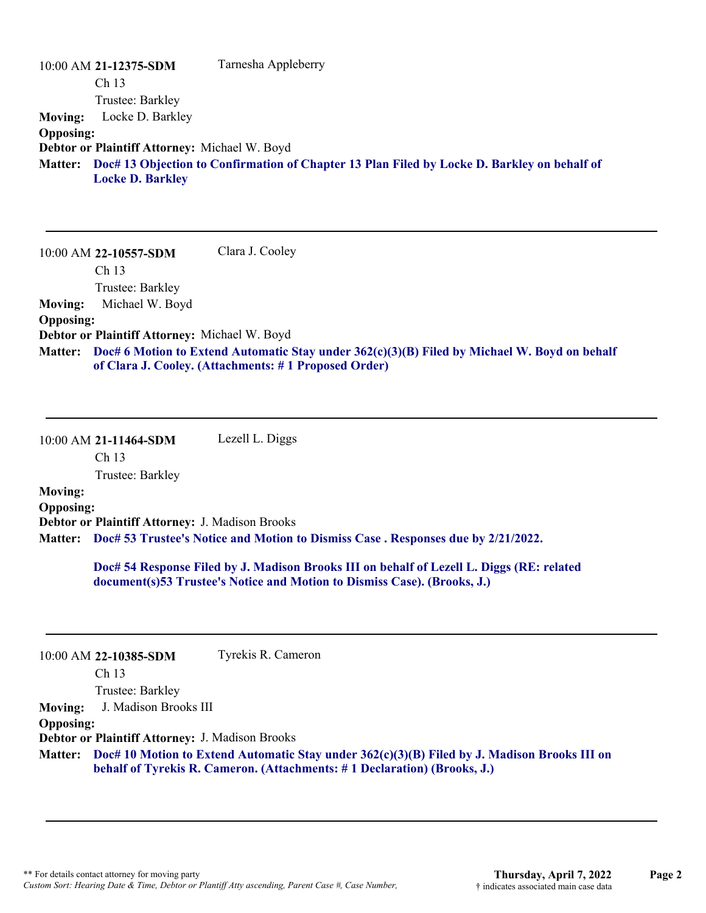|                  | 10:00 AM 21-12375-SDM                         | Tarnesha Appleberry                                                                         |
|------------------|-----------------------------------------------|---------------------------------------------------------------------------------------------|
|                  | Ch <sub>13</sub>                              |                                                                                             |
|                  | Trustee: Barkley                              |                                                                                             |
| <b>Moving:</b>   | Locke D. Barkley                              |                                                                                             |
| <b>Opposing:</b> |                                               |                                                                                             |
|                  | Debtor or Plaintiff Attorney: Michael W. Boyd |                                                                                             |
| <b>Matter:</b>   | <b>Locke D. Barkley</b>                       | Doc# 13 Objection to Confirmation of Chapter 13 Plan Filed by Locke D. Barkley on behalf of |

10:00 AM **22-10557-SDM**  Ch 13 Trustee: Barkley Clara J. Cooley **Moving:** Michael W. Boyd **Opposing: Debtor or Plaintiff Attorney:** Michael W. Boyd **Doc# 6 Motion to Extend Automatic Stay under 362(c)(3)(B) Filed by Michael W. Boyd on behalf Matter: of Clara J. Cooley. (Attachments: # 1 Proposed Order)**

10:00 AM **21-11464-SDM**  Ch 13 Lezell L. Diggs

Trustee: Barkley

# **Moving:**

**Opposing: Debtor or Plaintiff Attorney:** J. Madison Brooks **Doc# 53 Trustee's Notice and Motion to Dismiss Case . Responses due by 2/21/2022. Matter:**

> **Doc# 54 Response Filed by J. Madison Brooks III on behalf of Lezell L. Diggs (RE: related document(s)53 Trustee's Notice and Motion to Dismiss Case). (Brooks, J.)**

|                  | $10:00$ AM 22-10385-SDM                                | Tyrekis R. Cameron                                                                                                                                                               |
|------------------|--------------------------------------------------------|----------------------------------------------------------------------------------------------------------------------------------------------------------------------------------|
|                  | Ch <sub>13</sub>                                       |                                                                                                                                                                                  |
|                  | Trustee: Barkley                                       |                                                                                                                                                                                  |
| <b>Moving:</b>   | J. Madison Brooks III                                  |                                                                                                                                                                                  |
| <b>Opposing:</b> |                                                        |                                                                                                                                                                                  |
|                  | <b>Debtor or Plaintiff Attorney: J. Madison Brooks</b> |                                                                                                                                                                                  |
|                  |                                                        | Matter: Doc# 10 Motion to Extend Automatic Stay under 362(c)(3)(B) Filed by J. Madison Brooks III on<br>behalf of Tyrekis R. Cameron. (Attachments: #1 Declaration) (Brooks, J.) |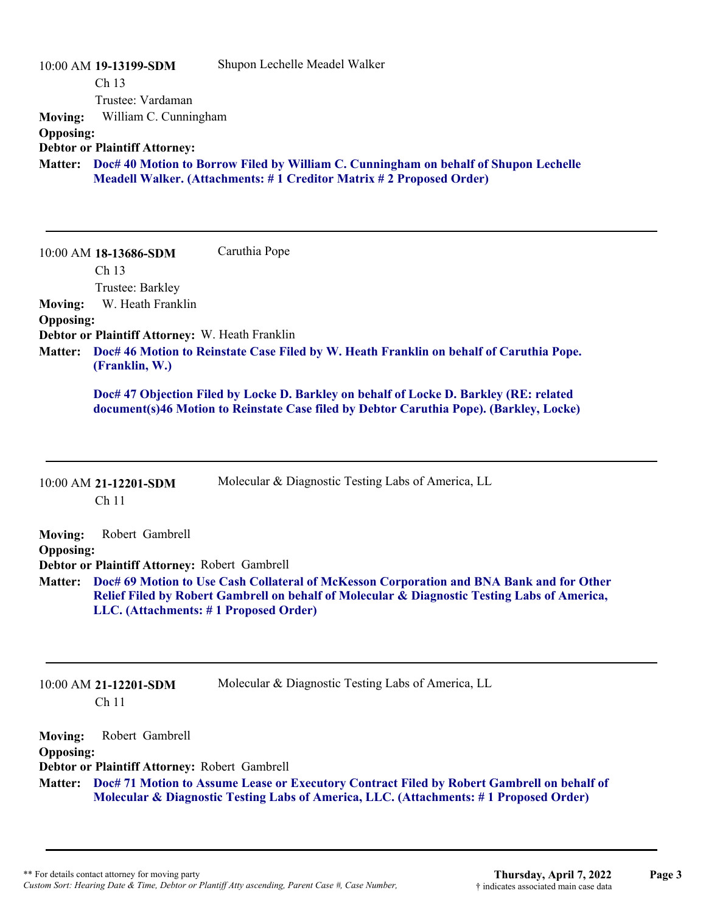| <b>Moving:</b><br><b>Opposing:</b>                   | 10:00 AM 19-13199-SDM<br>Ch 13<br>Trustee: Vardaman<br>William C. Cunningham<br><b>Debtor or Plaintiff Attorney:</b>                         | Shupon Lechelle Meadel Walker<br>Matter: Doc# 40 Motion to Borrow Filed by William C. Cunningham on behalf of Shupon Lechelle<br>Meadell Walker. (Attachments: #1 Creditor Matrix #2 Proposed Order)                                                                                          |
|------------------------------------------------------|----------------------------------------------------------------------------------------------------------------------------------------------|-----------------------------------------------------------------------------------------------------------------------------------------------------------------------------------------------------------------------------------------------------------------------------------------------|
| <b>Moving:</b><br><b>Opposing:</b><br><b>Matter:</b> | 10:00 AM 18-13686-SDM<br>Ch 13<br>Trustee: Barkley<br>W. Heath Franklin<br>Debtor or Plaintiff Attorney: W. Heath Franklin<br>(Franklin, W.) | Caruthia Pope<br>Doc# 46 Motion to Reinstate Case Filed by W. Heath Franklin on behalf of Caruthia Pope.<br>Doc# 47 Objection Filed by Locke D. Barkley on behalf of Locke D. Barkley (RE: related<br>document(s)46 Motion to Reinstate Case filed by Debtor Caruthia Pope). (Barkley, Locke) |
|                                                      | 10:00 AM 21-12201-SDM<br>Ch <sub>11</sub>                                                                                                    | Molecular & Diagnostic Testing Labs of America, LL                                                                                                                                                                                                                                            |
| <b>Moving:</b><br><b>Opposing:</b><br><b>Matter:</b> | Robert Gambrell<br>Debtor or Plaintiff Attorney: Robert Gambrell<br>LLC. (Attachments: #1 Proposed Order)                                    | Doc# 69 Motion to Use Cash Collateral of McKesson Corporation and BNA Bank and for Other<br>Relief Filed by Robert Gambrell on behalf of Molecular & Diagnostic Testing Labs of America,                                                                                                      |
| <b>Moving:</b>                                       | 10:00 AM 21-12201-SDM<br>Ch <sub>11</sub><br>Robert Gambrell                                                                                 | Molecular & Diagnostic Testing Labs of America, LL                                                                                                                                                                                                                                            |

**Opposing:**

**Debtor or Plaintiff Attorney:** Robert Gambrell

**Doc# 71 Motion to Assume Lease or Executory Contract Filed by Robert Gambrell on behalf of Matter: Molecular & Diagnostic Testing Labs of America, LLC. (Attachments: # 1 Proposed Order)**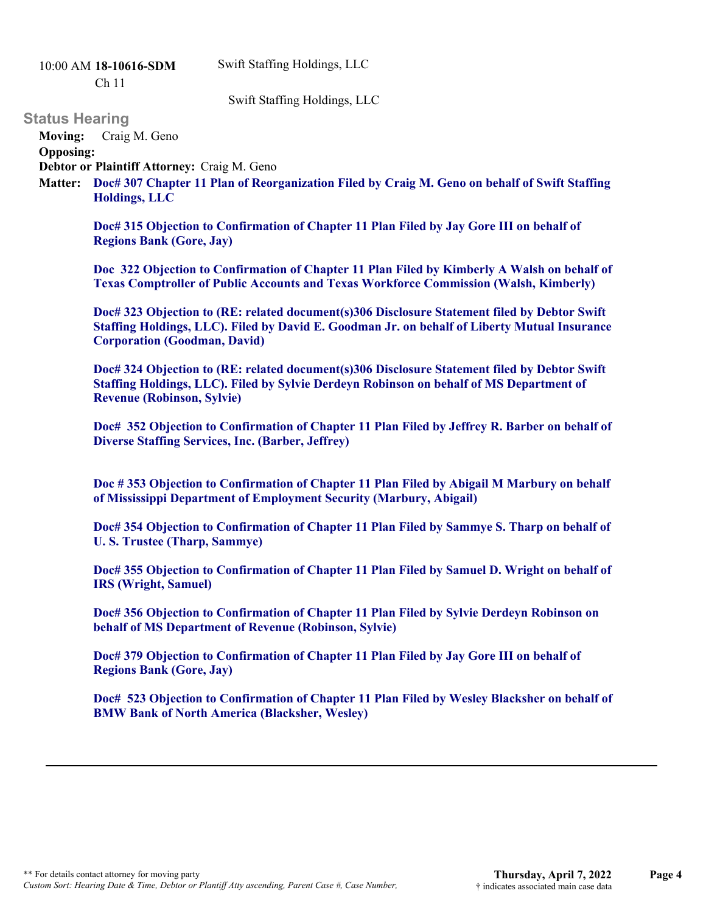Swift Staffing Holdings, LLC

10:00 AM **18-10616-SDM** 

Ch 11

Swift Staffing Holdings, LLC

## **Status Hearing**

**Moving:** Craig M. Geno

**Opposing:**

**Debtor or Plaintiff Attorney:** Craig M. Geno

**Doc# 307 Chapter 11 Plan of Reorganization Filed by Craig M. Geno on behalf of Swift Staffing Matter: Holdings, LLC**

**Doc# 315 Objection to Confirmation of Chapter 11 Plan Filed by Jay Gore III on behalf of Regions Bank (Gore, Jay)**

**Doc 322 Objection to Confirmation of Chapter 11 Plan Filed by Kimberly A Walsh on behalf of Texas Comptroller of Public Accounts and Texas Workforce Commission (Walsh, Kimberly)**

**Doc# 323 Objection to (RE: related document(s)306 Disclosure Statement filed by Debtor Swift Staffing Holdings, LLC). Filed by David E. Goodman Jr. on behalf of Liberty Mutual Insurance Corporation (Goodman, David)**

**Doc# 324 Objection to (RE: related document(s)306 Disclosure Statement filed by Debtor Swift Staffing Holdings, LLC). Filed by Sylvie Derdeyn Robinson on behalf of MS Department of Revenue (Robinson, Sylvie)**

**Doc# 352 Objection to Confirmation of Chapter 11 Plan Filed by Jeffrey R. Barber on behalf of Diverse Staffing Services, Inc. (Barber, Jeffrey)**

**Doc # 353 Objection to Confirmation of Chapter 11 Plan Filed by Abigail M Marbury on behalf of Mississippi Department of Employment Security (Marbury, Abigail)**

**Doc# 354 Objection to Confirmation of Chapter 11 Plan Filed by Sammye S. Tharp on behalf of U. S. Trustee (Tharp, Sammye)**

**Doc# 355 Objection to Confirmation of Chapter 11 Plan Filed by Samuel D. Wright on behalf of IRS (Wright, Samuel)**

**Doc# 356 Objection to Confirmation of Chapter 11 Plan Filed by Sylvie Derdeyn Robinson on behalf of MS Department of Revenue (Robinson, Sylvie)**

**Doc# 379 Objection to Confirmation of Chapter 11 Plan Filed by Jay Gore III on behalf of Regions Bank (Gore, Jay)**

**Doc# 523 Objection to Confirmation of Chapter 11 Plan Filed by Wesley Blacksher on behalf of BMW Bank of North America (Blacksher, Wesley)**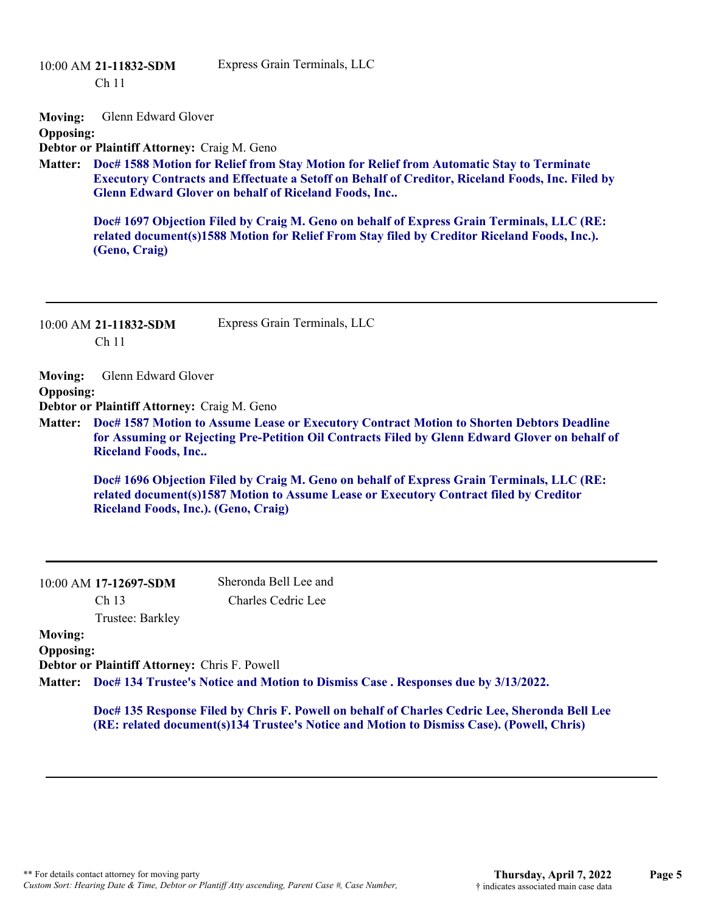Ch 11

#### Express Grain Terminals, LLC

**Moving:** Glenn Edward Glover

#### **Opposing:**

**Debtor or Plaintiff Attorney:** Craig M. Geno

**Doc# 1588 Motion for Relief from Stay Motion for Relief from Automatic Stay to Terminate Matter: Executory Contracts and Effectuate a Setoff on Behalf of Creditor, Riceland Foods, Inc. Filed by Glenn Edward Glover on behalf of Riceland Foods, Inc..**

**Doc# 1697 Objection Filed by Craig M. Geno on behalf of Express Grain Terminals, LLC (RE: related document(s)1588 Motion for Relief From Stay filed by Creditor Riceland Foods, Inc.). (Geno, Craig)**

10:00 AM **21-11832-SDM**  Ch 11

Express Grain Terminals, LLC

**Moving:** Glenn Edward Glover **Opposing:**

**Debtor or Plaintiff Attorney:** Craig M. Geno

**Doc# 1587 Motion to Assume Lease or Executory Contract Motion to Shorten Debtors Deadline Matter: for Assuming or Rejecting Pre-Petition Oil Contracts Filed by Glenn Edward Glover on behalf of Riceland Foods, Inc..**

**Doc# 1696 Objection Filed by Craig M. Geno on behalf of Express Grain Terminals, LLC (RE: related document(s)1587 Motion to Assume Lease or Executory Contract filed by Creditor Riceland Foods, Inc.). (Geno, Craig)**

|                  | 10:00 AM 17-12697-SDM                                | Sheronda Bell Lee and                                                                     |
|------------------|------------------------------------------------------|-------------------------------------------------------------------------------------------|
|                  | Ch <sub>13</sub>                                     | Charles Cedric Lee                                                                        |
|                  | Trustee: Barkley                                     |                                                                                           |
| <b>Moving:</b>   |                                                      |                                                                                           |
| <b>Opposing:</b> |                                                      |                                                                                           |
|                  | <b>Debtor or Plaintiff Attorney: Chris F. Powell</b> |                                                                                           |
|                  |                                                      | Matter: Doc# 134 Trustee's Notice and Motion to Dismiss Case. Responses due by 3/13/2022. |

**Doc# 135 Response Filed by Chris F. Powell on behalf of Charles Cedric Lee, Sheronda Bell Lee (RE: related document(s)134 Trustee's Notice and Motion to Dismiss Case). (Powell, Chris)**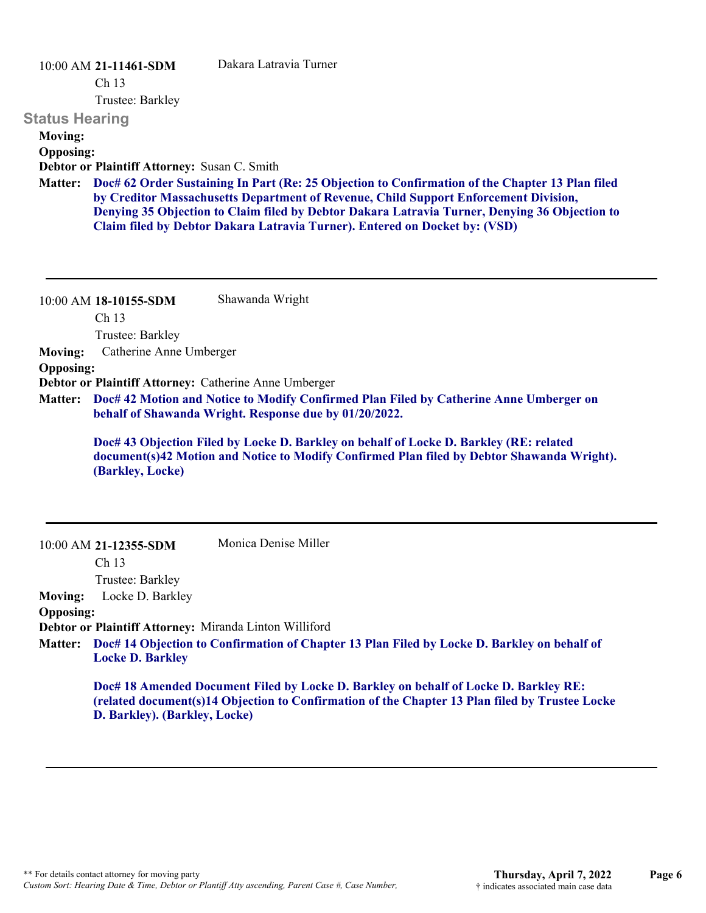#### 10:00 AM **21-11461-SDM**

Dakara Latravia Turner

Ch 13

Trustee: Barkley

#### **Status Hearing**

## **Moving:**

**Opposing:**

**Debtor or Plaintiff Attorney:** Susan C. Smith

**Doc# 62 Order Sustaining In Part (Re: 25 Objection to Confirmation of the Chapter 13 Plan filed Matter: by Creditor Massachusetts Department of Revenue, Child Support Enforcement Division, Denying 35 Objection to Claim filed by Debtor Dakara Latravia Turner, Denying 36 Objection to Claim filed by Debtor Dakara Latravia Turner). Entered on Docket by: (VSD)**

|                  | $10:00$ AM 18-10155-SDM<br>Ch <sub>13</sub>                                                                                                                                                              | Shawanda Wright                                       |  |
|------------------|----------------------------------------------------------------------------------------------------------------------------------------------------------------------------------------------------------|-------------------------------------------------------|--|
|                  |                                                                                                                                                                                                          |                                                       |  |
|                  | Trustee: Barkley                                                                                                                                                                                         |                                                       |  |
| <b>Moving:</b>   | Catherine Anne Umberger                                                                                                                                                                                  |                                                       |  |
| <b>Opposing:</b> |                                                                                                                                                                                                          |                                                       |  |
|                  |                                                                                                                                                                                                          | Debtor or Plaintiff Attorney: Catherine Anne Umberger |  |
| <b>Matter:</b>   | Doc# 42 Motion and Notice to Modify Confirmed Plan Filed by Catherine Anne Umberger on<br>behalf of Shawanda Wright. Response due by 01/20/2022.                                                         |                                                       |  |
|                  | Doc# 43 Objection Filed by Locke D. Barkley on behalf of Locke D. Barkley (RE: related<br>document(s)42 Motion and Notice to Modify Confirmed Plan filed by Debtor Shawanda Wright).<br>(Barkley, Locke) |                                                       |  |
|                  | $10:00$ AM 21-12355-SDM                                                                                                                                                                                  | Monica Denise Miller                                  |  |

Ch 13 Trustee: Barkley

**Moving:** Locke D. Barkley

**Opposing:**

**Debtor or Plaintiff Attorney:** Miranda Linton Williford

**Doc# 14 Objection to Confirmation of Chapter 13 Plan Filed by Locke D. Barkley on behalf of Matter: Locke D. Barkley**

**Doc# 18 Amended Document Filed by Locke D. Barkley on behalf of Locke D. Barkley RE: (related document(s)14 Objection to Confirmation of the Chapter 13 Plan filed by Trustee Locke D. Barkley). (Barkley, Locke)**